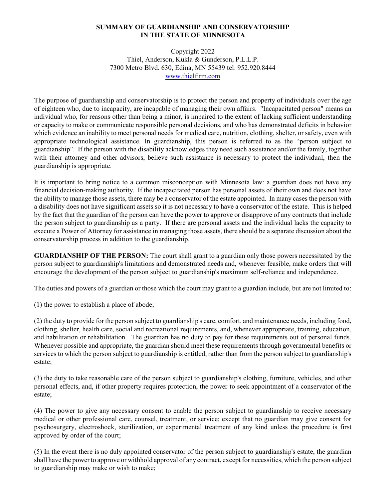## **SUMMARY OF GUARDIANSHIP AND CONSERVATORSHIP IN THE STATE OF MINNESOTA**

Copyright 2022 Thiel, Anderson, Kukla & Gunderson, P.L.L.P. 7300 Metro Blvd. 630, Edina, MN 55439 tel. 952.920.8444 [www.thielfirm.com](http://www.thielfirm.com)

The purpose of guardianship and conservatorship is to protect the person and property of individuals over the age of eighteen who, due to incapacity, are incapable of managing their own affairs. "Incapacitated person" means an individual who, for reasons other than being a minor, is impaired to the extent of lacking sufficient understanding or capacity to make or communicate responsible personal decisions, and who has demonstrated deficits in behavior which evidence an inability to meet personal needs for medical care, nutrition, clothing, shelter, or safety, even with appropriate technological assistance. In guardianship, this person is referred to as the "person subject to guardianship". If the person with the disability acknowledges they need such assistance and/or the family, together with their attorney and other advisors, believe such assistance is necessary to protect the individual, then the guardianship is appropriate.

It is important to bring notice to a common misconception with Minnesota law: a guardian does not have any financial decision-making authority. If the incapacitated person has personal assets of their own and does not have the ability to manage those assets, there may be a conservator of the estate appointed. In many cases the person with a disability does not have significant assets so it is not necessary to have a conservator of the estate. This is helped by the fact that the guardian of the person can have the power to approve or disapprove of any contracts that include the person subject to guardianship as a party. If there are personal assets and the individual lacks the capacity to execute a Power of Attorney for assistance in managing those assets, there should be a separate discussion about the conservatorship process in addition to the guardianship.

**GUARDIANSHIP OF THE PERSON:** The court shall grant to a guardian only those powers necessitated by the person subject to guardianship's limitations and demonstrated needs and, whenever feasible, make orders that will encourage the development of the person subject to guardianship's maximum self-reliance and independence.

The duties and powers of a guardian or those which the court may grant to a guardian include, but are not limited to:

(1) the power to establish a place of abode;

(2) the duty to provide for the person subject to guardianship's care, comfort, and maintenance needs, including food, clothing, shelter, health care, social and recreational requirements, and, whenever appropriate, training, education, and habilitation or rehabilitation. The guardian has no duty to pay for these requirements out of personal funds. Whenever possible and appropriate, the guardian should meet these requirements through governmental benefits or services to which the person subject to guardianship is entitled, rather than from the person subject to guardianship's estate;

(3) the duty to take reasonable care of the person subject to guardianship's clothing, furniture, vehicles, and other personal effects, and, if other property requires protection, the power to seek appointment of a conservator of the estate;

(4) The power to give any necessary consent to enable the person subject to guardianship to receive necessary medical or other professional care, counsel, treatment, or service; except that no guardian may give consent for psychosurgery, electroshock, sterilization, or experimental treatment of any kind unless the procedure is first approved by order of the court;

(5) In the event there is no duly appointed conservator of the person subject to guardianship's estate, the guardian shall have the power to approve or withhold approval of any contract, except for necessities, which the person subject to guardianship may make or wish to make;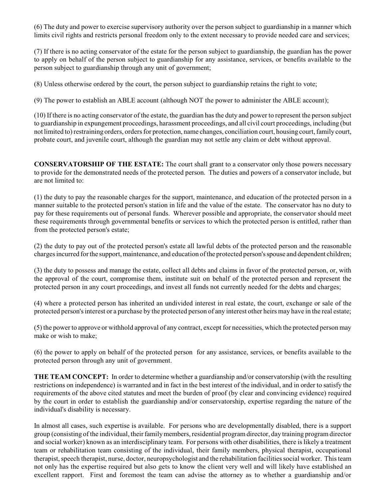(6) The duty and power to exercise supervisory authority over the person subject to guardianship in a manner which limits civil rights and restricts personal freedom only to the extent necessary to provide needed care and services;

(7) If there is no acting conservator of the estate for the person subject to guardianship, the guardian has the power to apply on behalf of the person subject to guardianship for any assistance, services, or benefits available to the person subject to guardianship through any unit of government;

(8) Unless otherwise ordered by the court, the person subject to guardianship retains the right to vote;

(9) The power to establish an ABLE account (although NOT the power to administer the ABLE account);

(10) If there is no acting conservator of the estate, the guardian has the duty and power to represent the person subject to guardianship in expungement proceedings, harassment proceedings, and all civil court proceedings, including (but not limited to) restraining orders, orders for protection, name changes, conciliation court, housing court, family court, probate court, and juvenile court, although the guardian may not settle any claim or debt without approval.

**CONSERVATORSHIP OF THE ESTATE:** The court shall grant to a conservator only those powers necessary to provide for the demonstrated needs of the protected person. The duties and powers of a conservator include, but are not limited to:

(1) the duty to pay the reasonable charges for the support, maintenance, and education of the protected person in a manner suitable to the protected person's station in life and the value of the estate. The conservator has no duty to pay for these requirements out of personal funds. Wherever possible and appropriate, the conservator should meet these requirements through governmental benefits or services to which the protected person is entitled, rather than from the protected person's estate;

(2) the duty to pay out of the protected person's estate all lawful debts of the protected person and the reasonable charges incurred forthe support, maintenance, and education ofthe protected person's spouse and dependent children;

(3) the duty to possess and manage the estate, collect all debts and claims in favor of the protected person, or, with the approval of the court, compromise them, institute suit on behalf of the protected person and represent the protected person in any court proceedings, and invest all funds not currently needed for the debts and charges;

(4) where a protected person has inherited an undivided interest in real estate, the court, exchange or sale of the protected person's interest or a purchase by the protected person of any interest other heirs may have in the real estate;

(5) the power to approve or withhold approval of any contract, except for necessities, which the protected person may make or wish to make;

(6) the power to apply on behalf of the protected person for any assistance, services, or benefits available to the protected person through any unit of government.

**THE TEAM CONCEPT:** In order to determine whether a guardianship and/or conservatorship (with the resulting restrictions on independence) is warranted and in fact in the best interest of the individual, and in order to satisfy the requirements of the above cited statutes and meet the burden of proof (by clear and convincing evidence) required by the court in order to establish the guardianship and/or conservatorship, expertise regarding the nature of the individual's disability is necessary.

In almost all cases, such expertise is available. For persons who are developmentally disabled, there is a support group (consisting of the individual, their familymembers, residential programdirector, day training programdirector and social worker) known as an interdisciplinary team. For persons with other disabilities, there is likely a treatment team or rehabilitation team consisting of the individual, their family members, physical therapist, occupational therapist, speech therapist, nurse, doctor, neuropsychologist and the rehabilitation facilities social worker. This team not only has the expertise required but also gets to know the client very well and will likely have established an excellent rapport. First and foremost the team can advise the attorney as to whether a guardianship and/or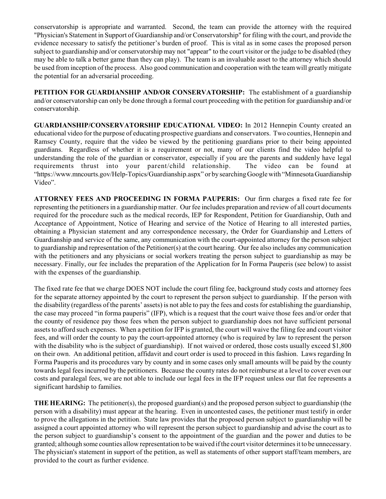conservatorship is appropriate and warranted. Second, the team can provide the attorney with the required "Physician's Statement in Support of Guardianship and/or Conservatorship" for filing with the court, and provide the evidence necessary to satisfy the petitioner's burden of proof. This is vital as in some cases the proposed person subject to guardianship and/or conservatorship may not "appear" to the court visitor or the judge to be disabled (they may be able to talk a better game than they can play). The team is an invaluable asset to the attorney which should be used from inception of the process. Also good communication and cooperation with the team will greatly mitigate the potential for an adversarial proceeding.

**PETITION FOR GUARDIANSHIP AND/OR CONSERVATORSHIP:** The establishment of a guardianship and/or conservatorship can only be done through a formal court proceeding with the petition for guardianship and/or conservatorship.

**GUARDIANSHIP/CONSERVATORSHIP EDUCATIONAL VIDEO:** In 2012 Hennepin County created an educational video for the purpose of educating prospective guardians and conservators. Two counties, Hennepin and Ramsey County, require that the video be viewed by the petitioning guardians prior to their being appointed guardians. Regardless of whether it is a requirement or not, many of our clients find the video helpful to understanding the role of the guardian or conservator, especially if you are the parents and suddenly have legal requirements thrust into your parent/child relationship. The video can be found at "https://www.mncourts.gov/Help-Topics/Guardianship.aspx" or by searchingGoogle with "MinnesotaGuardianship Video".

**ATTORNEY FEES AND PROCEEDING IN FORMA PAUPERIS:** Our firm charges a fixed rate fee for representing the petitioners in a guardianship matter. Our fee includes preparation and review of all court documents required for the procedure such as the medical records, IEP for Respondent, Petition for Guardianship, Oath and Acceptance of Appointment, Notice of Hearing and service of the Notice of Hearing to all interested parties, obtaining a Physician statement and any correspondence necessary, the Order for Guardianship and Letters of Guardianship and service of the same, any communication with the court-appointed attorney for the person subject to guardianship and representation of the Petitioner(s) at the court hearing. Our fee also includes any communication with the petitioners and any physicians or social workers treating the person subject to guardianship as may be necessary. Finally, our fee includes the preparation of the Application for In Forma Pauperis (see below) to assist with the expenses of the guardianship.

The fixed rate fee that we charge DOES NOT include the court filing fee, background study costs and attorney fees for the separate attorney appointed by the court to represent the person subject to guardianship. If the person with the disability (regardless of the parents' assets) is not able to pay the fees and costs for establishing the guardianship, the case may proceed "in forma pauperis" (IFP), which is a request that the court waive those fees and/or order that the county of residence pay those fees when the person subject to guardianship does not have sufficient personal assets to afford such expenses. When a petition for IFP is granted, the court will waive the filing fee and court visitor fees, and will order the county to pay the court-appointed attorney (who is required by law to represent the person with the disability who is the subject of guardianship). If not waived or ordered, those costs usually exceed \$1,800 on their own. An additional petition, affidavit and court order is used to proceed in this fashion. Laws regarding In Forma Pauperis and its procedures vary by county and in some cases only small amounts will be paid by the county towards legal fees incurred by the petitioners. Because the county rates do not reimburse at a level to cover even our costs and paralegal fees, we are not able to include our legal fees in the IFP request unless our flat fee represents a significant hardship to families.

**THE HEARING:** The petitioner(s), the proposed guardian(s) and the proposed person subject to guardianship (the person with a disability) must appear at the hearing. Even in uncontested cases, the petitioner must testify in order to prove the allegations in the petition. State law provides that the proposed person subject to guardianship will be assigned a court appointed attorney who will represent the person subject to guardianship and advise the court as to the person subject to guardianship's consent to the appointment of the guardian and the power and duties to be granted; although some counties allow representation to be waived if the court visitor determines it to be unnecessary. The physician's statement in support of the petition, as well as statements of other support staff/team members, are provided to the court as further evidence.